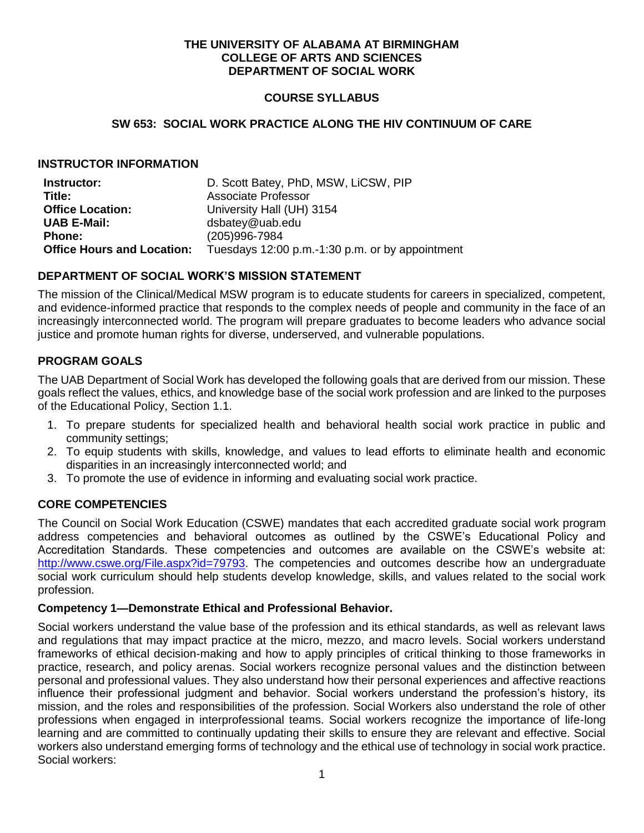#### **THE UNIVERSITY OF ALABAMA AT BIRMINGHAM COLLEGE OF ARTS AND SCIENCES DEPARTMENT OF SOCIAL WORK**

#### **COURSE SYLLABUS**

#### **SW 653: SOCIAL WORK PRACTICE ALONG THE HIV CONTINUUM OF CARE**

#### **INSTRUCTOR INFORMATION**

| Instructor:                       | D. Scott Batey, PhD, MSW, LiCSW, PIP            |
|-----------------------------------|-------------------------------------------------|
| Title:                            | <b>Associate Professor</b>                      |
| <b>Office Location:</b>           | University Hall (UH) 3154                       |
| <b>UAB E-Mail:</b>                | dsbatey@uab.edu                                 |
| <b>Phone:</b>                     | (205)996-7984                                   |
| <b>Office Hours and Location:</b> | Tuesdays 12:00 p.m.-1:30 p.m. or by appointment |

#### **DEPARTMENT OF SOCIAL WORK'S MISSION STATEMENT**

The mission of the Clinical/Medical MSW program is to educate students for careers in specialized, competent, and evidence-informed practice that responds to the complex needs of people and community in the face of an increasingly interconnected world. The program will prepare graduates to become leaders who advance social justice and promote human rights for diverse, underserved, and vulnerable populations.

#### **PROGRAM GOALS**

The UAB Department of Social Work has developed the following goals that are derived from our mission. These goals reflect the values, ethics, and knowledge base of the social work profession and are linked to the purposes of the Educational Policy, Section 1.1.

- 1. To prepare students for specialized health and behavioral health social work practice in public and community settings;
- 2. To equip students with skills, knowledge, and values to lead efforts to eliminate health and economic disparities in an increasingly interconnected world; and
- 3. To promote the use of evidence in informing and evaluating social work practice.

#### **CORE COMPETENCIES**

The Council on Social Work Education (CSWE) mandates that each accredited graduate social work program address competencies and behavioral outcomes as outlined by the CSWE's Educational Policy and Accreditation Standards. These competencies and outcomes are available on the CSWE's website at: [http://www.cswe.org/File.aspx?id=79793.](http://www.cswe.org/File.aspx?id=79793) The competencies and outcomes describe how an undergraduate social work curriculum should help students develop knowledge, skills, and values related to the social work profession.

#### **Competency 1—Demonstrate Ethical and Professional Behavior.**

Social workers understand the value base of the profession and its ethical standards, as well as relevant laws and regulations that may impact practice at the micro, mezzo, and macro levels. Social workers understand frameworks of ethical decision-making and how to apply principles of critical thinking to those frameworks in practice, research, and policy arenas. Social workers recognize personal values and the distinction between personal and professional values. They also understand how their personal experiences and affective reactions influence their professional judgment and behavior. Social workers understand the profession's history, its mission, and the roles and responsibilities of the profession. Social Workers also understand the role of other professions when engaged in interprofessional teams. Social workers recognize the importance of life-long learning and are committed to continually updating their skills to ensure they are relevant and effective. Social workers also understand emerging forms of technology and the ethical use of technology in social work practice. Social workers: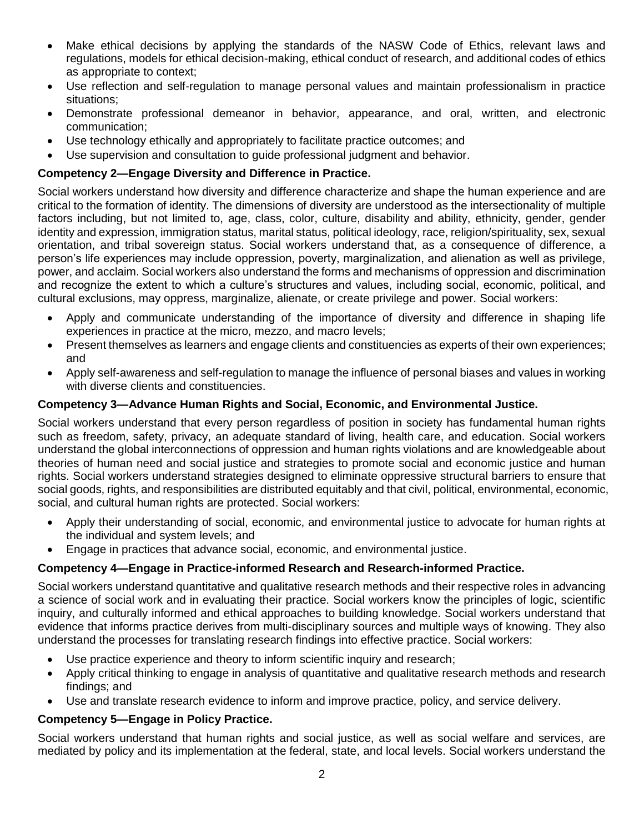- Make ethical decisions by applying the standards of the NASW Code of Ethics, relevant laws and regulations, models for ethical decision-making, ethical conduct of research, and additional codes of ethics as appropriate to context;
- Use reflection and self-regulation to manage personal values and maintain professionalism in practice situations;
- Demonstrate professional demeanor in behavior, appearance, and oral, written, and electronic communication;
- Use technology ethically and appropriately to facilitate practice outcomes; and
- Use supervision and consultation to guide professional judgment and behavior.

# **Competency 2—Engage Diversity and Difference in Practice.**

Social workers understand how diversity and difference characterize and shape the human experience and are critical to the formation of identity. The dimensions of diversity are understood as the intersectionality of multiple factors including, but not limited to, age, class, color, culture, disability and ability, ethnicity, gender, gender identity and expression, immigration status, marital status, political ideology, race, religion/spirituality, sex, sexual orientation, and tribal sovereign status. Social workers understand that, as a consequence of difference, a person's life experiences may include oppression, poverty, marginalization, and alienation as well as privilege, power, and acclaim. Social workers also understand the forms and mechanisms of oppression and discrimination and recognize the extent to which a culture's structures and values, including social, economic, political, and cultural exclusions, may oppress, marginalize, alienate, or create privilege and power. Social workers:

- Apply and communicate understanding of the importance of diversity and difference in shaping life experiences in practice at the micro, mezzo, and macro levels;
- Present themselves as learners and engage clients and constituencies as experts of their own experiences; and
- Apply self-awareness and self-regulation to manage the influence of personal biases and values in working with diverse clients and constituencies.

#### **Competency 3—Advance Human Rights and Social, Economic, and Environmental Justice.**

Social workers understand that every person regardless of position in society has fundamental human rights such as freedom, safety, privacy, an adequate standard of living, health care, and education. Social workers understand the global interconnections of oppression and human rights violations and are knowledgeable about theories of human need and social justice and strategies to promote social and economic justice and human rights. Social workers understand strategies designed to eliminate oppressive structural barriers to ensure that social goods, rights, and responsibilities are distributed equitably and that civil, political, environmental, economic, social, and cultural human rights are protected. Social workers:

- Apply their understanding of social, economic, and environmental justice to advocate for human rights at the individual and system levels; and
- Engage in practices that advance social, economic, and environmental justice.

#### **Competency 4—Engage in Practice-informed Research and Research-informed Practice.**

Social workers understand quantitative and qualitative research methods and their respective roles in advancing a science of social work and in evaluating their practice. Social workers know the principles of logic, scientific inquiry, and culturally informed and ethical approaches to building knowledge. Social workers understand that evidence that informs practice derives from multi-disciplinary sources and multiple ways of knowing. They also understand the processes for translating research findings into effective practice. Social workers:

- Use practice experience and theory to inform scientific inquiry and research;
- Apply critical thinking to engage in analysis of quantitative and qualitative research methods and research findings; and
- Use and translate research evidence to inform and improve practice, policy, and service delivery.

#### **Competency 5—Engage in Policy Practice.**

Social workers understand that human rights and social justice, as well as social welfare and services, are mediated by policy and its implementation at the federal, state, and local levels. Social workers understand the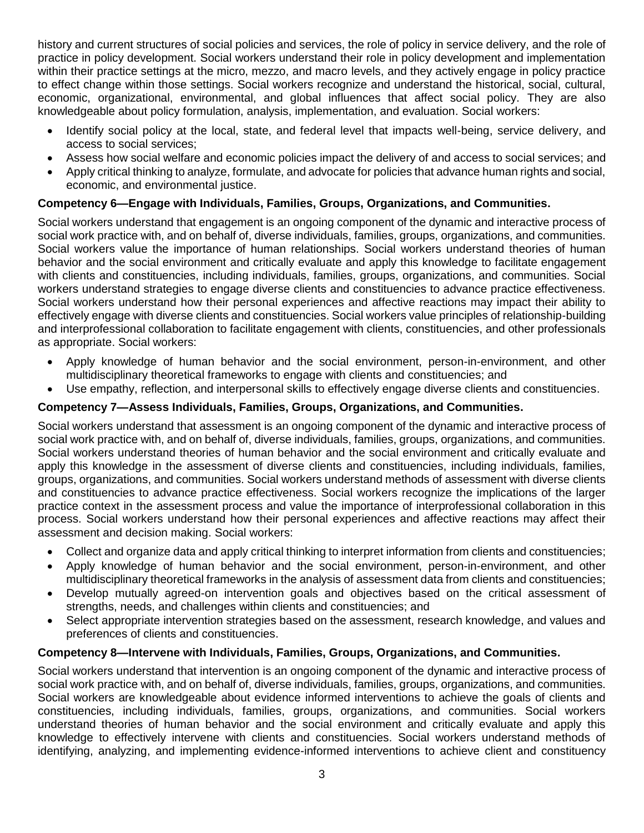history and current structures of social policies and services, the role of policy in service delivery, and the role of practice in policy development. Social workers understand their role in policy development and implementation within their practice settings at the micro, mezzo, and macro levels, and they actively engage in policy practice to effect change within those settings. Social workers recognize and understand the historical, social, cultural, economic, organizational, environmental, and global influences that affect social policy. They are also knowledgeable about policy formulation, analysis, implementation, and evaluation. Social workers:

- Identify social policy at the local, state, and federal level that impacts well-being, service delivery, and access to social services;
- Assess how social welfare and economic policies impact the delivery of and access to social services; and
- Apply critical thinking to analyze, formulate, and advocate for policies that advance human rights and social, economic, and environmental justice.

#### **Competency 6—Engage with Individuals, Families, Groups, Organizations, and Communities.**

Social workers understand that engagement is an ongoing component of the dynamic and interactive process of social work practice with, and on behalf of, diverse individuals, families, groups, organizations, and communities. Social workers value the importance of human relationships. Social workers understand theories of human behavior and the social environment and critically evaluate and apply this knowledge to facilitate engagement with clients and constituencies, including individuals, families, groups, organizations, and communities. Social workers understand strategies to engage diverse clients and constituencies to advance practice effectiveness. Social workers understand how their personal experiences and affective reactions may impact their ability to effectively engage with diverse clients and constituencies. Social workers value principles of relationship-building and interprofessional collaboration to facilitate engagement with clients, constituencies, and other professionals as appropriate. Social workers:

- Apply knowledge of human behavior and the social environment, person-in-environment, and other multidisciplinary theoretical frameworks to engage with clients and constituencies; and
- Use empathy, reflection, and interpersonal skills to effectively engage diverse clients and constituencies.

# **Competency 7—Assess Individuals, Families, Groups, Organizations, and Communities.**

Social workers understand that assessment is an ongoing component of the dynamic and interactive process of social work practice with, and on behalf of, diverse individuals, families, groups, organizations, and communities. Social workers understand theories of human behavior and the social environment and critically evaluate and apply this knowledge in the assessment of diverse clients and constituencies, including individuals, families, groups, organizations, and communities. Social workers understand methods of assessment with diverse clients and constituencies to advance practice effectiveness. Social workers recognize the implications of the larger practice context in the assessment process and value the importance of interprofessional collaboration in this process. Social workers understand how their personal experiences and affective reactions may affect their assessment and decision making. Social workers:

- Collect and organize data and apply critical thinking to interpret information from clients and constituencies;
- Apply knowledge of human behavior and the social environment, person-in-environment, and other multidisciplinary theoretical frameworks in the analysis of assessment data from clients and constituencies;
- Develop mutually agreed-on intervention goals and objectives based on the critical assessment of strengths, needs, and challenges within clients and constituencies; and
- Select appropriate intervention strategies based on the assessment, research knowledge, and values and preferences of clients and constituencies.

#### **Competency 8—Intervene with Individuals, Families, Groups, Organizations, and Communities.**

Social workers understand that intervention is an ongoing component of the dynamic and interactive process of social work practice with, and on behalf of, diverse individuals, families, groups, organizations, and communities. Social workers are knowledgeable about evidence informed interventions to achieve the goals of clients and constituencies, including individuals, families, groups, organizations, and communities. Social workers understand theories of human behavior and the social environment and critically evaluate and apply this knowledge to effectively intervene with clients and constituencies. Social workers understand methods of identifying, analyzing, and implementing evidence-informed interventions to achieve client and constituency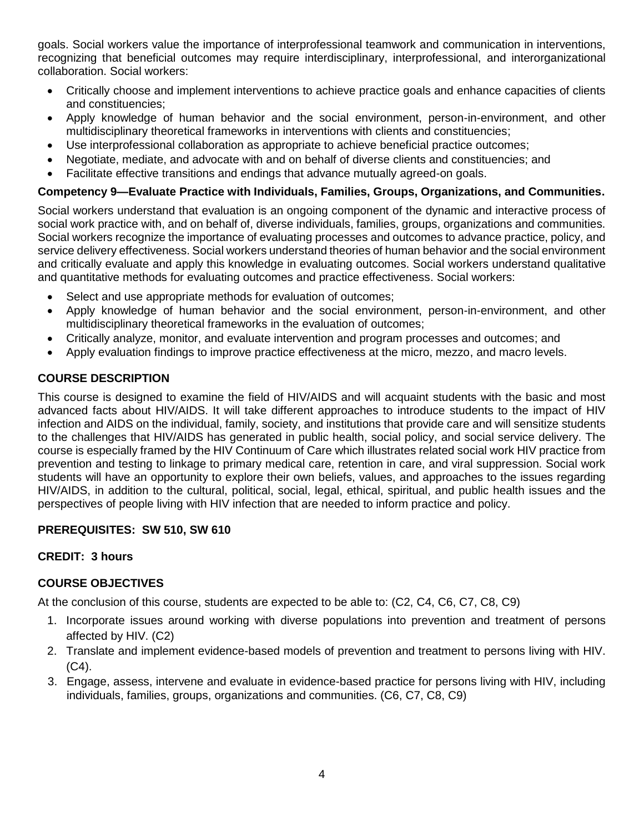goals. Social workers value the importance of interprofessional teamwork and communication in interventions, recognizing that beneficial outcomes may require interdisciplinary, interprofessional, and interorganizational collaboration. Social workers:

- Critically choose and implement interventions to achieve practice goals and enhance capacities of clients and constituencies;
- Apply knowledge of human behavior and the social environment, person-in-environment, and other multidisciplinary theoretical frameworks in interventions with clients and constituencies;
- Use interprofessional collaboration as appropriate to achieve beneficial practice outcomes;
- Negotiate, mediate, and advocate with and on behalf of diverse clients and constituencies; and
- Facilitate effective transitions and endings that advance mutually agreed-on goals.

#### **Competency 9—Evaluate Practice with Individuals, Families, Groups, Organizations, and Communities.**

Social workers understand that evaluation is an ongoing component of the dynamic and interactive process of social work practice with, and on behalf of, diverse individuals, families, groups, organizations and communities. Social workers recognize the importance of evaluating processes and outcomes to advance practice, policy, and service delivery effectiveness. Social workers understand theories of human behavior and the social environment and critically evaluate and apply this knowledge in evaluating outcomes. Social workers understand qualitative and quantitative methods for evaluating outcomes and practice effectiveness. Social workers:

- Select and use appropriate methods for evaluation of outcomes;
- Apply knowledge of human behavior and the social environment, person-in-environment, and other multidisciplinary theoretical frameworks in the evaluation of outcomes;
- Critically analyze, monitor, and evaluate intervention and program processes and outcomes; and
- Apply evaluation findings to improve practice effectiveness at the micro, mezzo, and macro levels.

# **COURSE DESCRIPTION**

This course is designed to examine the field of HIV/AIDS and will acquaint students with the basic and most advanced facts about HIV/AIDS. It will take different approaches to introduce students to the impact of HIV infection and AIDS on the individual, family, society, and institutions that provide care and will sensitize students to the challenges that HIV/AIDS has generated in public health, social policy, and social service delivery. The course is especially framed by the HIV Continuum of Care which illustrates related social work HIV practice from prevention and testing to linkage to primary medical care, retention in care, and viral suppression. Social work students will have an opportunity to explore their own beliefs, values, and approaches to the issues regarding HIV/AIDS, in addition to the cultural, political, social, legal, ethical, spiritual, and public health issues and the perspectives of people living with HIV infection that are needed to inform practice and policy.

#### **PREREQUISITES: SW 510, SW 610**

#### **CREDIT: 3 hours**

#### **COURSE OBJECTIVES**

At the conclusion of this course, students are expected to be able to: (C2, C4, C6, C7, C8, C9)

- 1. Incorporate issues around working with diverse populations into prevention and treatment of persons affected by HIV. (C2)
- 2. Translate and implement evidence-based models of prevention and treatment to persons living with HIV.  $(C4)$ .
- 3. Engage, assess, intervene and evaluate in evidence-based practice for persons living with HIV, including individuals, families, groups, organizations and communities. (C6, C7, C8, C9)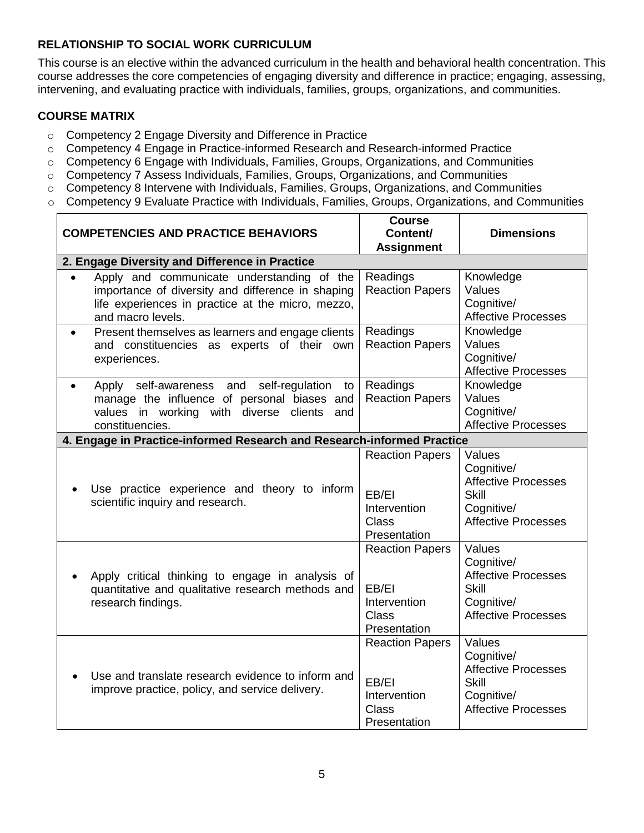# **RELATIONSHIP TO SOCIAL WORK CURRICULUM**

This course is an elective within the advanced curriculum in the health and behavioral health concentration. This course addresses the core competencies of engaging diversity and difference in practice; engaging, assessing, intervening, and evaluating practice with individuals, families, groups, organizations, and communities.

# **COURSE MATRIX**

- o Competency 2 Engage Diversity and Difference in Practice
- $\circ$  Competency 4 Engage in Practice-informed Research and Research-informed Practice
- o Competency 6 Engage with Individuals, Families, Groups, Organizations, and Communities
- $\circ$  Competency 7 Assess Individuals, Families, Groups, Organizations, and Communities
- $\circ$  Competency 8 Intervene with Individuals, Families, Groups, Organizations, and Communities
- $\circ$  Competency 9 Evaluate Practice with Individuals, Families, Groups, Organizations, and Communities

| <b>COMPETENCIES AND PRACTICE BEHAVIORS</b>                                                                                                                                        | <b>Course</b><br>Content/<br><b>Assignment</b>                                  | <b>Dimensions</b>                                                                                              |
|-----------------------------------------------------------------------------------------------------------------------------------------------------------------------------------|---------------------------------------------------------------------------------|----------------------------------------------------------------------------------------------------------------|
| 2. Engage Diversity and Difference in Practice                                                                                                                                    |                                                                                 |                                                                                                                |
| Apply and communicate understanding of the<br>importance of diversity and difference in shaping<br>life experiences in practice at the micro, mezzo,<br>and macro levels.         | Readings<br><b>Reaction Papers</b>                                              | Knowledge<br>Values<br>Cognitive/<br><b>Affective Processes</b>                                                |
| Present themselves as learners and engage clients<br>$\bullet$<br>and constituencies as experts of their own<br>experiences.                                                      | Readings<br><b>Reaction Papers</b>                                              | Knowledge<br>Values<br>Cognitive/<br><b>Affective Processes</b>                                                |
| self-regulation<br>Apply self-awareness and<br>to<br>$\bullet$<br>manage the influence of personal biases and<br>values in working with diverse clients<br>and<br>constituencies. | Readings<br><b>Reaction Papers</b>                                              | Knowledge<br>Values<br>Cognitive/<br><b>Affective Processes</b>                                                |
| 4. Engage in Practice-informed Research and Research-informed Practice                                                                                                            |                                                                                 |                                                                                                                |
| Use practice experience and theory to inform<br>scientific inquiry and research.                                                                                                  | <b>Reaction Papers</b><br>EB/EI<br>Intervention<br><b>Class</b><br>Presentation | Values<br>Cognitive/<br><b>Affective Processes</b><br><b>Skill</b><br>Cognitive/<br><b>Affective Processes</b> |
| Apply critical thinking to engage in analysis of<br>quantitative and qualitative research methods and<br>research findings.                                                       | <b>Reaction Papers</b><br>EB/EI<br>Intervention<br><b>Class</b><br>Presentation | Values<br>Cognitive/<br><b>Affective Processes</b><br><b>Skill</b><br>Cognitive/<br><b>Affective Processes</b> |
| Use and translate research evidence to inform and<br>improve practice, policy, and service delivery.                                                                              | <b>Reaction Papers</b><br>EB/EI<br>Intervention<br><b>Class</b><br>Presentation | Values<br>Cognitive/<br><b>Affective Processes</b><br><b>Skill</b><br>Cognitive/<br><b>Affective Processes</b> |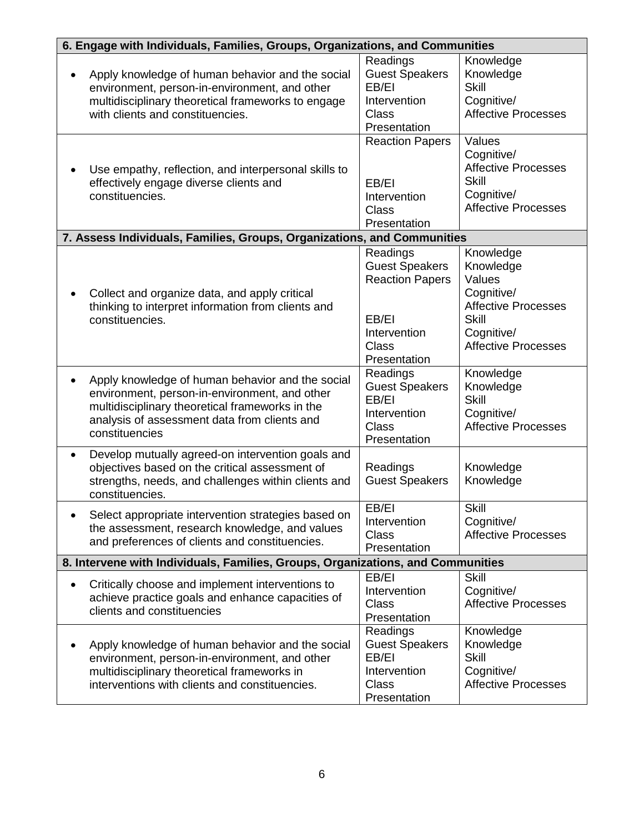|           | 6. Engage with Individuals, Families, Groups, Organizations, and Communities                                                                                                                                           |                                                                                                                      |                                                                                                                                          |  |
|-----------|------------------------------------------------------------------------------------------------------------------------------------------------------------------------------------------------------------------------|----------------------------------------------------------------------------------------------------------------------|------------------------------------------------------------------------------------------------------------------------------------------|--|
|           | Apply knowledge of human behavior and the social<br>environment, person-in-environment, and other<br>multidisciplinary theoretical frameworks to engage<br>with clients and constituencies.                            | Readings<br><b>Guest Speakers</b><br>EB/EI<br>Intervention<br><b>Class</b><br>Presentation                           | Knowledge<br>Knowledge<br><b>Skill</b><br>Cognitive/<br><b>Affective Processes</b>                                                       |  |
|           | Use empathy, reflection, and interpersonal skills to<br>effectively engage diverse clients and<br>constituencies.                                                                                                      | <b>Reaction Papers</b><br>EB/EI<br>Intervention<br><b>Class</b><br>Presentation                                      | Values<br>Cognitive/<br><b>Affective Processes</b><br><b>Skill</b><br>Cognitive/<br><b>Affective Processes</b>                           |  |
|           | 7. Assess Individuals, Families, Groups, Organizations, and Communities                                                                                                                                                |                                                                                                                      |                                                                                                                                          |  |
|           | Collect and organize data, and apply critical<br>thinking to interpret information from clients and<br>constituencies.                                                                                                 | Readings<br><b>Guest Speakers</b><br><b>Reaction Papers</b><br>EB/EI<br>Intervention<br><b>Class</b><br>Presentation | Knowledge<br>Knowledge<br>Values<br>Cognitive/<br><b>Affective Processes</b><br><b>Skill</b><br>Cognitive/<br><b>Affective Processes</b> |  |
| $\bullet$ | Apply knowledge of human behavior and the social<br>environment, person-in-environment, and other<br>multidisciplinary theoretical frameworks in the<br>analysis of assessment data from clients and<br>constituencies | Readings<br><b>Guest Speakers</b><br>EB/EI<br>Intervention<br><b>Class</b><br>Presentation                           | Knowledge<br>Knowledge<br><b>Skill</b><br>Cognitive/<br><b>Affective Processes</b>                                                       |  |
| $\bullet$ | Develop mutually agreed-on intervention goals and<br>objectives based on the critical assessment of<br>strengths, needs, and challenges within clients and<br>constituencies.                                          | Readings<br><b>Guest Speakers</b>                                                                                    | Knowledge<br>Knowledge                                                                                                                   |  |
|           | Select appropriate intervention strategies based on<br>the assessment, research knowledge, and values<br>and preferences of clients and constituencies.                                                                | EB/EI<br>Intervention<br><b>Class</b><br>Presentation                                                                | <b>Skill</b><br>Cognitive/<br><b>Affective Processes</b>                                                                                 |  |
|           | 8. Intervene with Individuals, Families, Groups, Organizations, and Communities                                                                                                                                        |                                                                                                                      |                                                                                                                                          |  |
|           | Critically choose and implement interventions to<br>achieve practice goals and enhance capacities of<br>clients and constituencies                                                                                     | EB/EI<br>Intervention<br><b>Class</b><br>Presentation                                                                | <b>Skill</b><br>Cognitive/<br><b>Affective Processes</b>                                                                                 |  |
| $\bullet$ | Apply knowledge of human behavior and the social<br>environment, person-in-environment, and other<br>multidisciplinary theoretical frameworks in<br>interventions with clients and constituencies.                     | Readings<br><b>Guest Speakers</b><br>EB/EI<br>Intervention<br>Class<br>Presentation                                  | Knowledge<br>Knowledge<br><b>Skill</b><br>Cognitive/<br><b>Affective Processes</b>                                                       |  |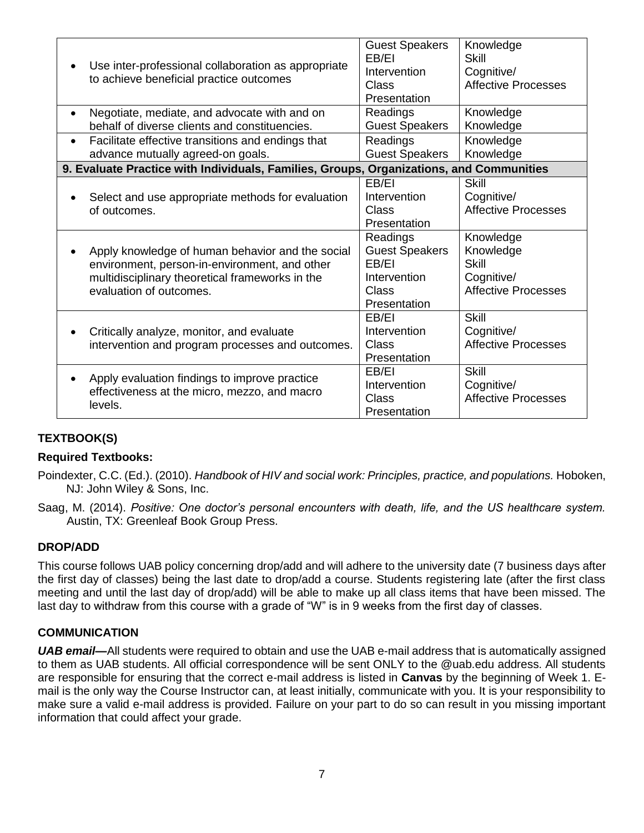|           | Use inter-professional collaboration as appropriate<br>to achieve beneficial practice outcomes                                                                                  | <b>Guest Speakers</b><br>EB/EI<br>Intervention<br><b>Class</b><br>Presentation             | Knowledge<br><b>Skill</b><br>Cognitive/<br><b>Affective Processes</b>              |
|-----------|---------------------------------------------------------------------------------------------------------------------------------------------------------------------------------|--------------------------------------------------------------------------------------------|------------------------------------------------------------------------------------|
| $\bullet$ | Negotiate, mediate, and advocate with and on<br>behalf of diverse clients and constituencies.                                                                                   | Readings<br><b>Guest Speakers</b>                                                          | Knowledge<br>Knowledge                                                             |
| $\bullet$ | Facilitate effective transitions and endings that<br>advance mutually agreed-on goals.                                                                                          | Readings<br><b>Guest Speakers</b>                                                          | Knowledge<br>Knowledge                                                             |
|           | 9. Evaluate Practice with Individuals, Families, Groups, Organizations, and Communities                                                                                         |                                                                                            |                                                                                    |
|           | Select and use appropriate methods for evaluation<br>of outcomes.                                                                                                               | EB/EI<br>Intervention<br><b>Class</b><br>Presentation                                      | <b>Skill</b><br>Cognitive/<br><b>Affective Processes</b>                           |
|           | Apply knowledge of human behavior and the social<br>environment, person-in-environment, and other<br>multidisciplinary theoretical frameworks in the<br>evaluation of outcomes. | Readings<br><b>Guest Speakers</b><br>EB/EI<br>Intervention<br><b>Class</b><br>Presentation | Knowledge<br>Knowledge<br><b>Skill</b><br>Cognitive/<br><b>Affective Processes</b> |
|           | Critically analyze, monitor, and evaluate<br>intervention and program processes and outcomes.                                                                                   | EB/EI<br>Intervention<br><b>Class</b><br>Presentation                                      | <b>Skill</b><br>Cognitive/<br><b>Affective Processes</b>                           |
| $\bullet$ | Apply evaluation findings to improve practice<br>effectiveness at the micro, mezzo, and macro<br>levels.                                                                        | EB/EI<br>Intervention<br><b>Class</b><br>Presentation                                      | <b>Skill</b><br>Cognitive/<br><b>Affective Processes</b>                           |

# **TEXTBOOK(S)**

# **Required Textbooks:**

Poindexter, C.C. (Ed.). (2010). *Handbook of HIV and social work: Principles, practice, and populations.* Hoboken, NJ: John Wiley & Sons, Inc.

Saag, M. (2014). *Positive: One doctor's personal encounters with death, life, and the US healthcare system.*  Austin, TX: Greenleaf Book Group Press.

# **DROP/ADD**

This course follows UAB policy concerning drop/add and will adhere to the university date (7 business days after the first day of classes) being the last date to drop/add a course. Students registering late (after the first class meeting and until the last day of drop/add) will be able to make up all class items that have been missed. The last day to withdraw from this course with a grade of "W" is in 9 weeks from the first day of classes.

# **COMMUNICATION**

*UAB email—*All students were required to obtain and use the UAB e-mail address that is automatically assigned to them as UAB students. All official correspondence will be sent ONLY to the @uab.edu address. All students are responsible for ensuring that the correct e-mail address is listed in **Canvas** by the beginning of Week 1. Email is the only way the Course Instructor can, at least initially, communicate with you. It is your responsibility to make sure a valid e-mail address is provided. Failure on your part to do so can result in you missing important information that could affect your grade.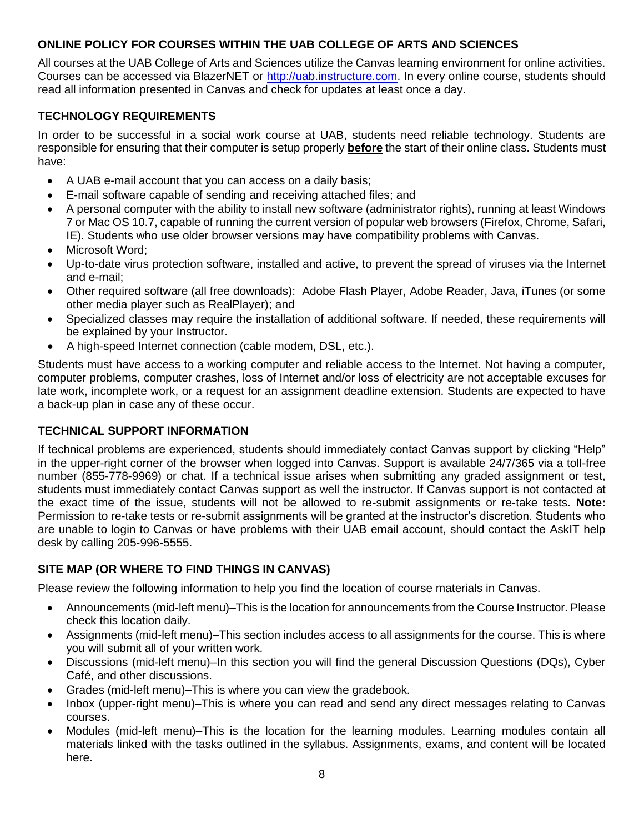# **ONLINE POLICY FOR COURSES WITHIN THE UAB COLLEGE OF ARTS AND SCIENCES**

All courses at the UAB College of Arts and Sciences utilize the Canvas learning environment for online activities. Courses can be accessed via BlazerNET or [http://uab.instructure.com.](http://uab.instructure.com/) In every online course, students should read all information presented in Canvas and check for updates at least once a day.

# **TECHNOLOGY REQUIREMENTS**

In order to be successful in a social work course at UAB, students need reliable technology. Students are responsible for ensuring that their computer is setup properly **before** the start of their online class. Students must have:

- A UAB e-mail account that you can access on a daily basis;
- E-mail software capable of sending and receiving attached files; and
- A personal computer with the ability to install new software (administrator rights), running at least Windows 7 or Mac OS 10.7, capable of running the current version of popular web browsers (Firefox, Chrome, Safari, IE). Students who use older browser versions may have compatibility problems with Canvas.
- Microsoft Word:
- Up-to-date virus protection software, installed and active, to prevent the spread of viruses via the Internet and e-mail;
- Other required software (all free downloads): Adobe Flash Player, Adobe Reader, Java, iTunes (or some other media player such as RealPlayer); and
- Specialized classes may require the installation of additional software. If needed, these requirements will be explained by your Instructor.
- A high-speed Internet connection (cable modem, DSL, etc.).

Students must have access to a working computer and reliable access to the Internet. Not having a computer, computer problems, computer crashes, loss of Internet and/or loss of electricity are not acceptable excuses for late work, incomplete work, or a request for an assignment deadline extension. Students are expected to have a back-up plan in case any of these occur.

#### **TECHNICAL SUPPORT INFORMATION**

If technical problems are experienced, students should immediately contact Canvas support by clicking "Help" in the upper-right corner of the browser when logged into Canvas. Support is available 24/7/365 via a toll-free number (855-778-9969) or chat. If a technical issue arises when submitting any graded assignment or test, students must immediately contact Canvas support as well the instructor. If Canvas support is not contacted at the exact time of the issue, students will not be allowed to re-submit assignments or re-take tests. **Note:** Permission to re-take tests or re-submit assignments will be granted at the instructor's discretion. Students who are unable to login to Canvas or have problems with their UAB email account, should contact the AskIT help desk by calling 205-996-5555.

# **SITE MAP (OR WHERE TO FIND THINGS IN CANVAS)**

Please review the following information to help you find the location of course materials in Canvas.

- Announcements (mid-left menu)–This is the location for announcements from the Course Instructor. Please check this location daily.
- Assignments (mid-left menu)–This section includes access to all assignments for the course. This is where you will submit all of your written work.
- Discussions (mid-left menu)–In this section you will find the general Discussion Questions (DQs), Cyber Café, and other discussions.
- Grades (mid-left menu)–This is where you can view the gradebook.
- Inbox (upper-right menu)–This is where you can read and send any direct messages relating to Canvas courses.
- Modules (mid-left menu)–This is the location for the learning modules. Learning modules contain all materials linked with the tasks outlined in the syllabus. Assignments, exams, and content will be located here.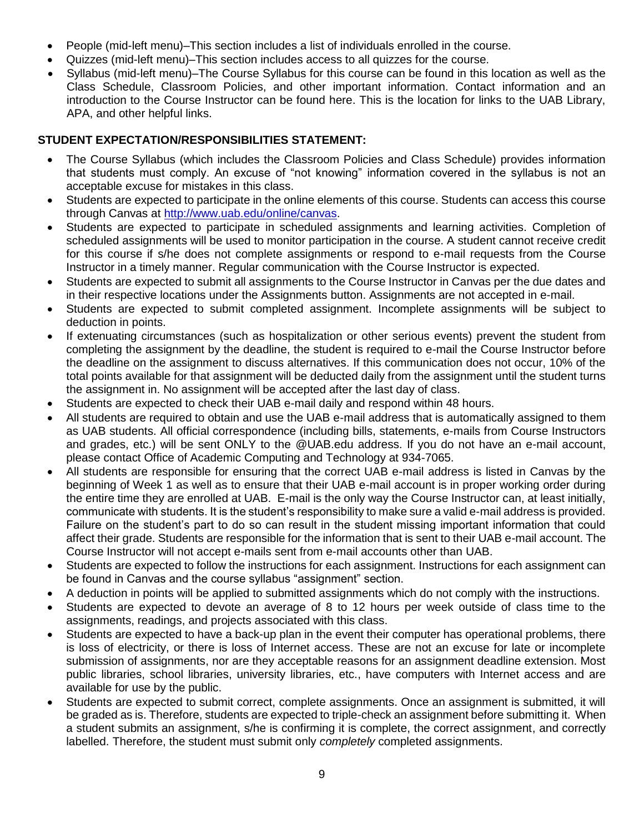- People (mid-left menu)–This section includes a list of individuals enrolled in the course.
- Quizzes (mid-left menu)–This section includes access to all quizzes for the course.
- Syllabus (mid-left menu)–The Course Syllabus for this course can be found in this location as well as the Class Schedule, Classroom Policies, and other important information. Contact information and an introduction to the Course Instructor can be found here. This is the location for links to the UAB Library, APA, and other helpful links.

# **STUDENT EXPECTATION/RESPONSIBILITIES STATEMENT:**

- The Course Syllabus (which includes the Classroom Policies and Class Schedule) provides information that students must comply. An excuse of "not knowing" information covered in the syllabus is not an acceptable excuse for mistakes in this class.
- Students are expected to participate in the online elements of this course. Students can access this course through Canvas at [http://www.uab.edu/online/canvas.](http://www.uab.edu/online/canvas)
- Students are expected to participate in scheduled assignments and learning activities. Completion of scheduled assignments will be used to monitor participation in the course. A student cannot receive credit for this course if s/he does not complete assignments or respond to e-mail requests from the Course Instructor in a timely manner. Regular communication with the Course Instructor is expected.
- Students are expected to submit all assignments to the Course Instructor in Canvas per the due dates and in their respective locations under the Assignments button. Assignments are not accepted in e-mail.
- Students are expected to submit completed assignment. Incomplete assignments will be subject to deduction in points.
- If extenuating circumstances (such as hospitalization or other serious events) prevent the student from completing the assignment by the deadline, the student is required to e-mail the Course Instructor before the deadline on the assignment to discuss alternatives. If this communication does not occur, 10% of the total points available for that assignment will be deducted daily from the assignment until the student turns the assignment in. No assignment will be accepted after the last day of class.
- Students are expected to check their UAB e-mail daily and respond within 48 hours.
- All students are required to obtain and use the UAB e-mail address that is automatically assigned to them as UAB students. All official correspondence (including bills, statements, e-mails from Course Instructors and grades, etc.) will be sent ONLY to the @UAB.edu address. If you do not have an e-mail account, please contact Office of Academic Computing and Technology at 934-7065.
- All students are responsible for ensuring that the correct UAB e-mail address is listed in Canvas by the beginning of Week 1 as well as to ensure that their UAB e-mail account is in proper working order during the entire time they are enrolled at UAB. E-mail is the only way the Course Instructor can, at least initially, communicate with students. It is the student's responsibility to make sure a valid e-mail address is provided. Failure on the student's part to do so can result in the student missing important information that could affect their grade. Students are responsible for the information that is sent to their UAB e-mail account. The Course Instructor will not accept e-mails sent from e-mail accounts other than UAB.
- Students are expected to follow the instructions for each assignment. Instructions for each assignment can be found in Canvas and the course syllabus "assignment" section.
- A deduction in points will be applied to submitted assignments which do not comply with the instructions.
- Students are expected to devote an average of 8 to 12 hours per week outside of class time to the assignments, readings, and projects associated with this class.
- Students are expected to have a back-up plan in the event their computer has operational problems, there is loss of electricity, or there is loss of Internet access. These are not an excuse for late or incomplete submission of assignments, nor are they acceptable reasons for an assignment deadline extension. Most public libraries, school libraries, university libraries, etc., have computers with Internet access and are available for use by the public.
- Students are expected to submit correct, complete assignments. Once an assignment is submitted, it will be graded as is. Therefore, students are expected to triple-check an assignment before submitting it. When a student submits an assignment, s/he is confirming it is complete, the correct assignment, and correctly labelled. Therefore, the student must submit only *completely* completed assignments.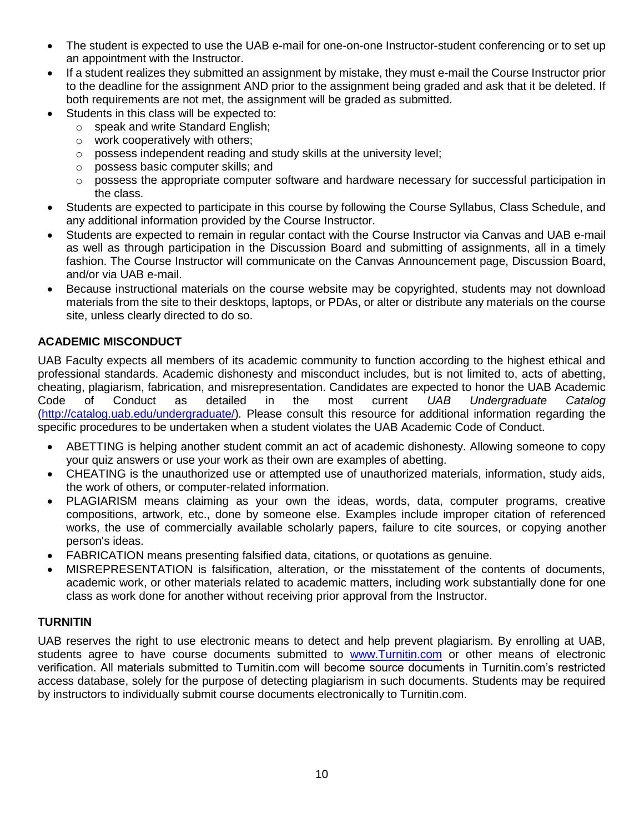- The student is expected to use the UAB e-mail for one-on-one Instructor-student conferencing or to set up an appointment with the Instructor.
- If a student realizes they submitted an assignment by mistake, they must e-mail the Course Instructor prior to the deadline for the assignment AND prior to the assignment being graded and ask that it be deleted. If both requirements are not met, the assignment will be graded as submitted.
- Students in this class will be expected to:
	- o speak and write Standard English;
	- o work cooperatively with others;
	- o possess independent reading and study skills at the university level;
	- o possess basic computer skills; and
	- $\circ$  possess the appropriate computer software and hardware necessary for successful participation in the class.
- Students are expected to participate in this course by following the Course Syllabus, Class Schedule, and any additional information provided by the Course Instructor.
- Students are expected to remain in regular contact with the Course Instructor via Canvas and UAB e-mail as well as through participation in the Discussion Board and submitting of assignments, all in a timely fashion. The Course Instructor will communicate on the Canvas Announcement page, Discussion Board, and/or via UAB e-mail.
- Because instructional materials on the course website may be copyrighted, students may not download materials from the site to their desktops, laptops, or PDAs, or alter or distribute any materials on the course site, unless clearly directed to do so.

# **ACADEMIC MISCONDUCT**

UAB Faculty expects all members of its academic community to function according to the highest ethical and professional standards. Academic dishonesty and misconduct includes, but is not limited to, acts of abetting, cheating, plagiarism, fabrication, and misrepresentation. Candidates are expected to honor the UAB Academic Code of Conduct as detailed in the most current *UAB Undergraduate Catalog*  [\(http://catalog.uab.edu/undergraduate/\)](http://catalog.uab.edu/undergraduate/)*.* Please consult this resource for additional information regarding the specific procedures to be undertaken when a student violates the UAB Academic Code of Conduct.

- ABETTING is helping another student commit an act of academic dishonesty. Allowing someone to copy your quiz answers or use your work as their own are examples of abetting.
- CHEATING is the unauthorized use or attempted use of unauthorized materials, information, study aids, the work of others, or computer-related information.
- PLAGIARISM means claiming as your own the ideas, words, data, computer programs, creative compositions, artwork, etc., done by someone else. Examples include improper citation of referenced works, the use of commercially available scholarly papers, failure to cite sources, or copying another person's ideas.
- FABRICATION means presenting falsified data, citations, or quotations as genuine.
- MISREPRESENTATION is falsification, alteration, or the misstatement of the contents of documents, academic work, or other materials related to academic matters, including work substantially done for one class as work done for another without receiving prior approval from the Instructor.

# **TURNITIN**

UAB reserves the right to use electronic means to detect and help prevent plagiarism. By enrolling at UAB, students agree to have course documents submitted to [www.Turnitin.com](http://www.turnitin.com/) or other means of electronic verification. All materials submitted to Turnitin.com will become source documents in Turnitin.com's restricted access database, solely for the purpose of detecting plagiarism in such documents. Students may be required by instructors to individually submit course documents electronically to Turnitin.com.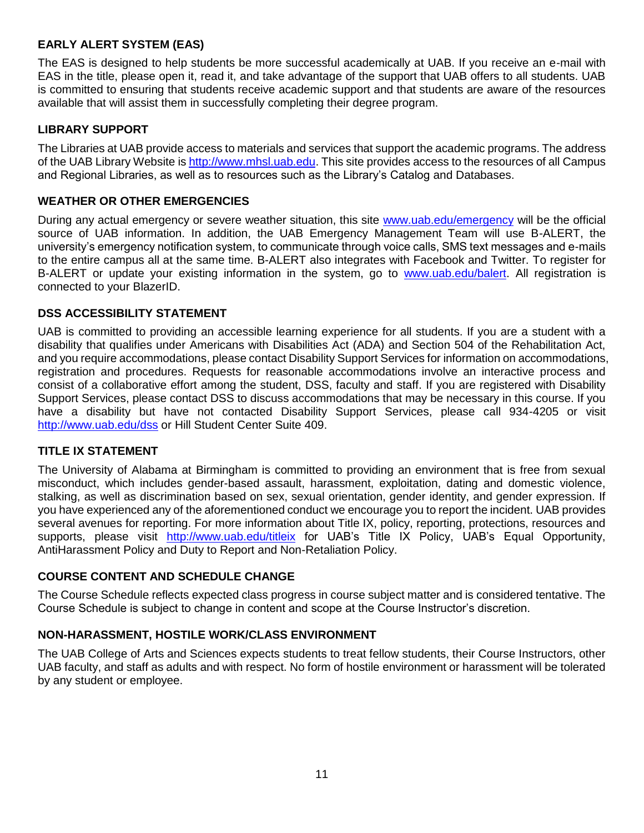# **EARLY ALERT SYSTEM (EAS)**

The EAS is designed to help students be more successful academically at UAB. If you receive an e-mail with EAS in the title, please open it, read it, and take advantage of the support that UAB offers to all students. UAB is committed to ensuring that students receive academic support and that students are aware of the resources available that will assist them in successfully completing their degree program.

#### **LIBRARY SUPPORT**

The Libraries at UAB provide access to materials and services that support the academic programs. The address of the UAB Library Website i[s http://www.mhsl.uab.edu.](http://www.mhsl.uab.edu/) This site provides access to the resources of all Campus and Regional Libraries, as well as to resources such as the Library's Catalog and Databases.

#### **WEATHER OR OTHER EMERGENCIES**

During any actual emergency or severe weather situation, this site [www.uab.edu/emergency](http://www.uab.edu/emergency) will be the official source of UAB information. In addition, the UAB Emergency Management Team will use B-ALERT, the university's emergency notification system, to communicate through voice calls, SMS text messages and e-mails to the entire campus all at the same time. B-ALERT also integrates with Facebook and Twitter. To register for B-ALERT or update your existing information in the system, go to [www.uab.edu/balert.](http://www.uab.edu/balert) All registration is connected to your BlazerID.

#### **DSS ACCESSIBILITY STATEMENT**

UAB is committed to providing an accessible learning experience for all students. If you are a student with a disability that qualifies under Americans with Disabilities Act (ADA) and Section 504 of the Rehabilitation Act, and you require accommodations, please contact Disability Support Services for information on accommodations, registration and procedures. Requests for reasonable accommodations involve an interactive process and consist of a collaborative effort among the student, DSS, faculty and staff. If you are registered with Disability Support Services, please contact DSS to discuss accommodations that may be necessary in this course. If you have a disability but have not contacted Disability Support Services, please call 934-4205 or visit <http://www.uab.edu/dss> or Hill Student Center Suite 409.

#### **TITLE IX STATEMENT**

The University of Alabama at Birmingham is committed to providing an environment that is free from sexual misconduct, which includes gender-based assault, harassment, exploitation, dating and domestic violence, stalking, as well as discrimination based on sex, sexual orientation, gender identity, and gender expression. If you have experienced any of the aforementioned conduct we encourage you to report the incident. UAB provides several avenues for reporting. For more information about Title IX, policy, reporting, protections, resources and supports, please visit <http://www.uab.edu/titleix> for UAB's Title IX Policy, UAB's Equal Opportunity, AntiHarassment Policy and Duty to Report and Non-Retaliation Policy.

#### **COURSE CONTENT AND SCHEDULE CHANGE**

The Course Schedule reflects expected class progress in course subject matter and is considered tentative. The Course Schedule is subject to change in content and scope at the Course Instructor's discretion.

# **NON-HARASSMENT, HOSTILE WORK/CLASS ENVIRONMENT**

The UAB College of Arts and Sciences expects students to treat fellow students, their Course Instructors, other UAB faculty, and staff as adults and with respect. No form of hostile environment or harassment will be tolerated by any student or employee.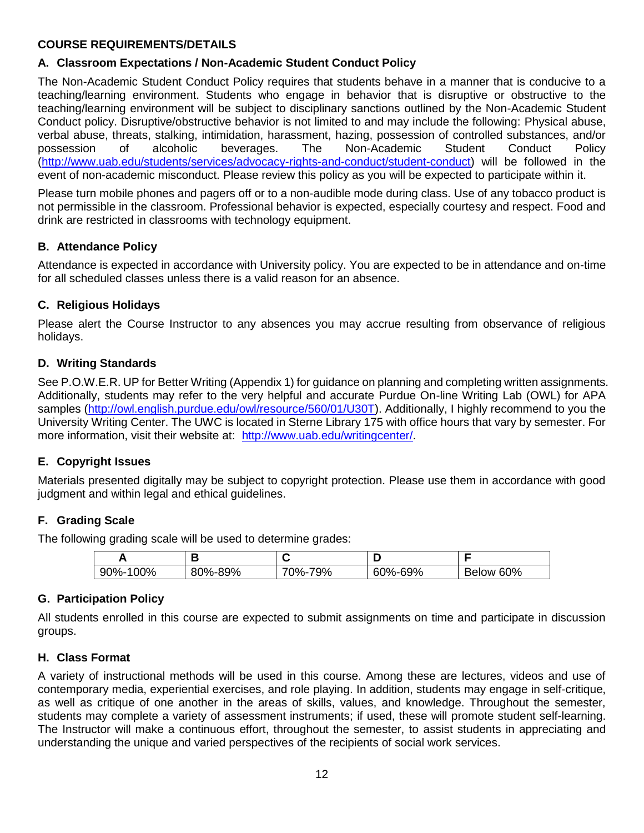#### **COURSE REQUIREMENTS/DETAILS**

# **A. Classroom Expectations / Non-Academic Student Conduct Policy**

The Non-Academic Student Conduct Policy requires that students behave in a manner that is conducive to a teaching/learning environment. Students who engage in behavior that is disruptive or obstructive to the teaching/learning environment will be subject to disciplinary sanctions outlined by the Non-Academic Student Conduct policy. Disruptive/obstructive behavior is not limited to and may include the following: Physical abuse, verbal abuse, threats, stalking, intimidation, harassment, hazing, possession of controlled substances, and/or possession of alcoholic beverages. The Non-Academic Student Conduct Policy [\(http://www.uab.edu/students/services/advocacy-rights-and-conduct/student-conduct\)](http://www.uab.edu/students/services/advocacy-rights-and-conduct/student-conduct) will be followed in the event of non-academic misconduct. Please review this policy as you will be expected to participate within it.

Please turn mobile phones and pagers off or to a non-audible mode during class. Use of any tobacco product is not permissible in the classroom. Professional behavior is expected, especially courtesy and respect. Food and drink are restricted in classrooms with technology equipment.

# **B. Attendance Policy**

Attendance is expected in accordance with University policy. You are expected to be in attendance and on-time for all scheduled classes unless there is a valid reason for an absence.

# **C. Religious Holidays**

Please alert the Course Instructor to any absences you may accrue resulting from observance of religious holidays.

# **D. Writing Standards**

See P.O.W.E.R. UP for Better Writing (Appendix 1) for guidance on planning and completing written assignments. Additionally, students may refer to the very helpful and accurate Purdue On-line Writing Lab (OWL) for APA samples [\(http://owl.english.purdue.edu/owl/resource/560/01/U30T\)](http://owl.english.purdue.edu/owl/resource/560/01/U30T). Additionally, I highly recommend to you the University Writing Center. The UWC is located in Sterne Library 175 with office hours that vary by semester. For more information, visit their website at: [http://www.uab.edu/writingcenter/.](http://www.uab.edu/writingcenter/)

# **E. Copyright Issues**

Materials presented digitally may be subject to copyright protection. Please use them in accordance with good judgment and within legal and ethical guidelines.

# **F. Grading Scale**

The following grading scale will be used to determine grades:

|                    | п<br>D  | ີ            |         |           |
|--------------------|---------|--------------|---------|-----------|
| $100\%$<br>$90% -$ | 80%-89% | 79%<br>70%-, | 60%-69% | Below 60% |

# **G. Participation Policy**

All students enrolled in this course are expected to submit assignments on time and participate in discussion groups.

# **H. Class Format**

A variety of instructional methods will be used in this course. Among these are lectures, videos and use of contemporary media, experiential exercises, and role playing. In addition, students may engage in self-critique, as well as critique of one another in the areas of skills, values, and knowledge. Throughout the semester, students may complete a variety of assessment instruments; if used, these will promote student self-learning. The Instructor will make a continuous effort, throughout the semester, to assist students in appreciating and understanding the unique and varied perspectives of the recipients of social work services.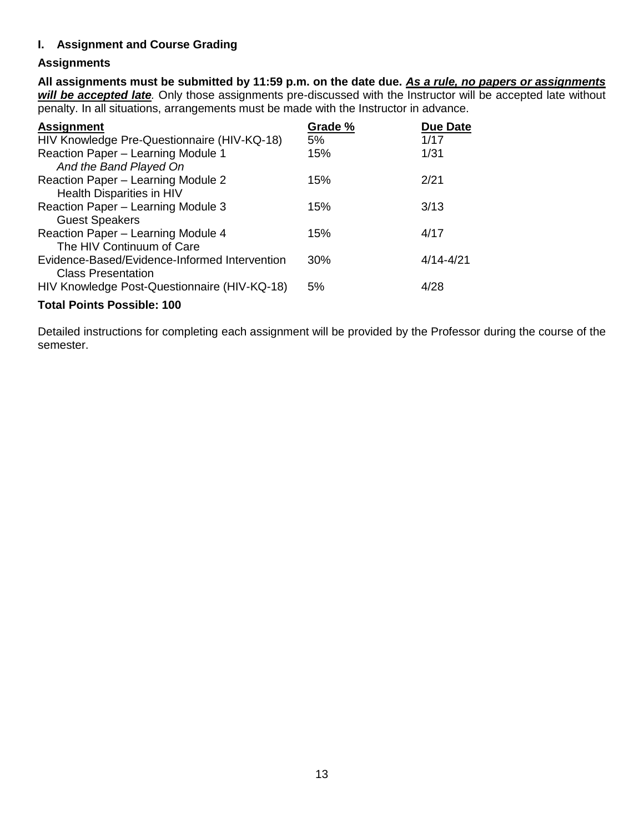# **I. Assignment and Course Grading**

#### **Assignments**

**All assignments must be submitted by 11:59 p.m. on the date due.** *As a rule, no papers or assignments*  **will be accepted late**. Only those assignments pre-discussed with the Instructor will be accepted late without penalty. In all situations, arrangements must be made with the Instructor in advance.

| <b>Assignment</b>                                                          | Grade % | Due Date      |
|----------------------------------------------------------------------------|---------|---------------|
| HIV Knowledge Pre-Questionnaire (HIV-KQ-18)                                | 5%      | 1/17          |
| Reaction Paper - Learning Module 1<br>And the Band Played On               | 15%     | 1/31          |
| Reaction Paper - Learning Module 2<br>Health Disparities in HIV            | 15%     | 2/21          |
| Reaction Paper - Learning Module 3<br><b>Guest Speakers</b>                | 15%     | 3/13          |
| Reaction Paper - Learning Module 4<br>The HIV Continuum of Care            | 15%     | 4/17          |
| Evidence-Based/Evidence-Informed Intervention<br><b>Class Presentation</b> | 30%     | $4/14 - 4/21$ |
| HIV Knowledge Post-Questionnaire (HIV-KQ-18)                               | 5%      | 4/28          |

#### **Total Points Possible: 100**

Detailed instructions for completing each assignment will be provided by the Professor during the course of the semester.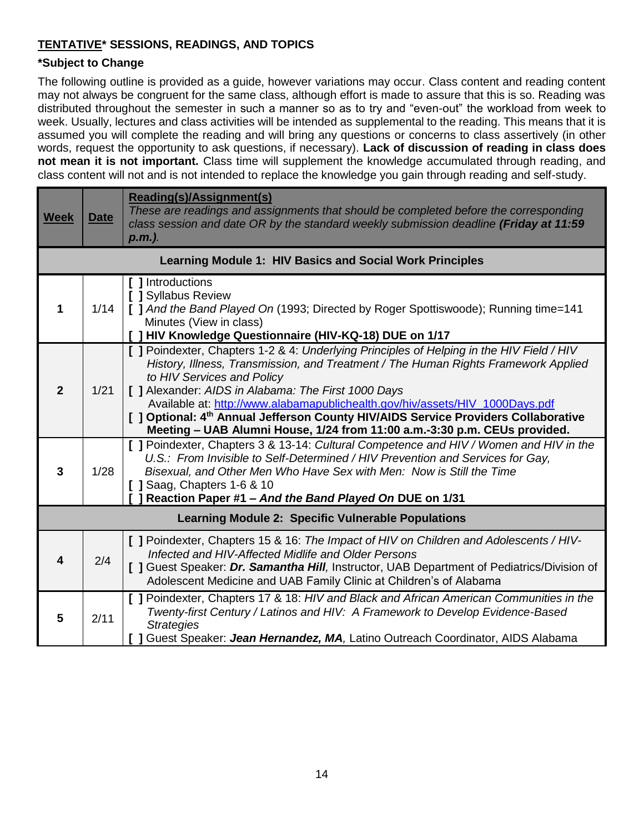# **TENTATIVE\* SESSIONS, READINGS, AND TOPICS**

#### **\*Subject to Change**

The following outline is provided as a guide, however variations may occur. Class content and reading content may not always be congruent for the same class, although effort is made to assure that this is so. Reading was distributed throughout the semester in such a manner so as to try and "even-out" the workload from week to week. Usually, lectures and class activities will be intended as supplemental to the reading. This means that it is assumed you will complete the reading and will bring any questions or concerns to class assertively (in other words, request the opportunity to ask questions, if necessary). **Lack of discussion of reading in class does not mean it is not important.** Class time will supplement the knowledge accumulated through reading, and class content will not and is not intended to replace the knowledge you gain through reading and self-study.

| <b>Week</b>    | <b>Date</b> | <b>Reading(s)/Assignment(s)</b><br>These are readings and assignments that should be completed before the corresponding<br>class session and date OR by the standard weekly submission deadline (Friday at 11:59<br>$p.m.$ ).                                                                                                                                                                                                                                                                                           |
|----------------|-------------|-------------------------------------------------------------------------------------------------------------------------------------------------------------------------------------------------------------------------------------------------------------------------------------------------------------------------------------------------------------------------------------------------------------------------------------------------------------------------------------------------------------------------|
|                |             | Learning Module 1: HIV Basics and Social Work Principles                                                                                                                                                                                                                                                                                                                                                                                                                                                                |
| 1              | 1/14        | [ ] Introductions<br>[ ] Syllabus Review<br>[ ] And the Band Played On (1993; Directed by Roger Spottiswoode); Running time=141<br>Minutes (View in class)<br>] HIV Knowledge Questionnaire (HIV-KQ-18) DUE on 1/17                                                                                                                                                                                                                                                                                                     |
| $\overline{2}$ | 1/21        | [ ] Poindexter, Chapters 1-2 & 4: Underlying Principles of Helping in the HIV Field / HIV<br>History, Illness, Transmission, and Treatment / The Human Rights Framework Applied<br>to HIV Services and Policy<br>[ ] Alexander: AIDS in Alabama: The First 1000 Days<br>Available at: http://www.alabamapublichealth.gov/hiv/assets/HIV_1000Days.pdf<br>[ ] Optional: 4th Annual Jefferson County HIV/AIDS Service Providers Collaborative<br>Meeting - UAB Alumni House, 1/24 from 11:00 a.m.-3:30 p.m. CEUs provided. |
| 3              | 1/28        | [ ] Poindexter, Chapters 3 & 13-14: Cultural Competence and HIV / Women and HIV in the<br>U.S.: From Invisible to Self-Determined / HIV Prevention and Services for Gay,<br>Bisexual, and Other Men Who Have Sex with Men: Now is Still the Time<br>[ ] Saag, Chapters 1-6 & 10<br>Reaction Paper #1 - And the Band Played On DUE on 1/31                                                                                                                                                                               |
|                |             | Learning Module 2: Specific Vulnerable Populations                                                                                                                                                                                                                                                                                                                                                                                                                                                                      |
| 4              | 2/4         | [ ] Poindexter, Chapters 15 & 16: The Impact of HIV on Children and Adolescents / HIV-<br>Infected and HIV-Affected Midlife and Older Persons<br>[ ] Guest Speaker: Dr. Samantha Hill, Instructor, UAB Department of Pediatrics/Division of<br>Adolescent Medicine and UAB Family Clinic at Children's of Alabama                                                                                                                                                                                                       |
| 5              | 2/11        | [ ] Poindexter, Chapters 17 & 18: HIV and Black and African American Communities in the<br>Twenty-first Century / Latinos and HIV: A Framework to Develop Evidence-Based<br><b>Strategies</b><br>Guest Speaker: Jean Hernandez, MA, Latino Outreach Coordinator, AIDS Alabama                                                                                                                                                                                                                                           |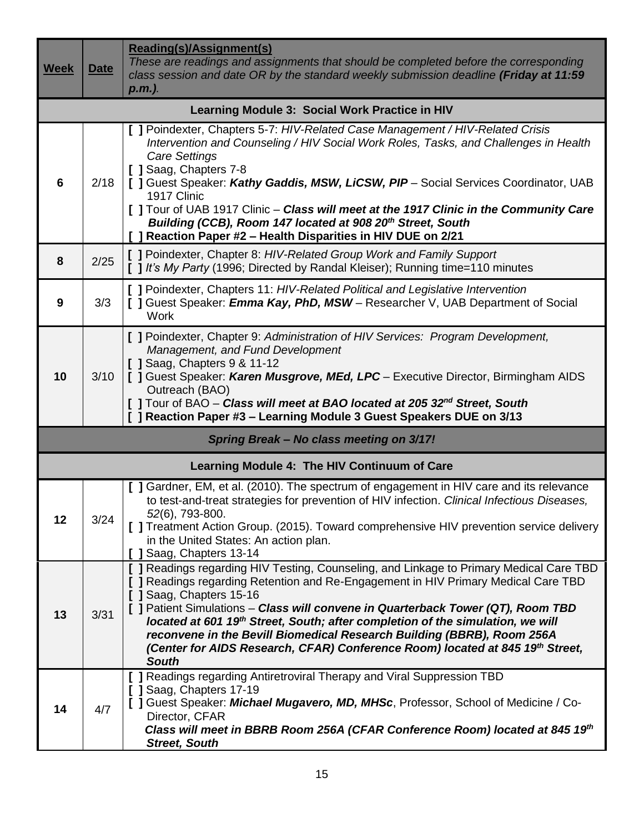| <b>Week</b> | <b>Date</b> | <b>Reading(s)/Assignment(s)</b><br>These are readings and assignments that should be completed before the corresponding<br>class session and date OR by the standard weekly submission deadline (Friday at 11:59<br>$p.m.$ ).                                                                                                                                                                                                                                                                                                                                      |
|-------------|-------------|--------------------------------------------------------------------------------------------------------------------------------------------------------------------------------------------------------------------------------------------------------------------------------------------------------------------------------------------------------------------------------------------------------------------------------------------------------------------------------------------------------------------------------------------------------------------|
|             |             | Learning Module 3: Social Work Practice in HIV                                                                                                                                                                                                                                                                                                                                                                                                                                                                                                                     |
| 6           | 2/18        | [ ] Poindexter, Chapters 5-7: HIV-Related Case Management / HIV-Related Crisis<br>Intervention and Counseling / HIV Social Work Roles, Tasks, and Challenges in Health<br><b>Care Settings</b><br>[ ] Saag, Chapters 7-8<br>[ ] Guest Speaker: Kathy Gaddis, MSW, LiCSW, PIP - Social Services Coordinator, UAB<br>1917 Clinic<br>[ ] Tour of UAB 1917 Clinic - Class will meet at the 1917 Clinic in the Community Care<br>Building (CCB), Room 147 located at 908 20th Street, South<br>Reaction Paper #2 - Health Disparities in HIV DUE on 2/21                |
| 8           | 2/25        | [ ] Poindexter, Chapter 8: HIV-Related Group Work and Family Support<br>[ ] It's My Party (1996; Directed by Randal Kleiser); Running time=110 minutes                                                                                                                                                                                                                                                                                                                                                                                                             |
| 9           | 3/3         | [ ] Poindexter, Chapters 11: HIV-Related Political and Legislative Intervention<br>[ ] Guest Speaker: <i>Emma Kay, PhD, MSW</i> – Researcher V, UAB Department of Social<br><b>Work</b>                                                                                                                                                                                                                                                                                                                                                                            |
| 10          | 3/10        | [ ] Poindexter, Chapter 9: Administration of HIV Services: Program Development,<br>Management, and Fund Development<br>$[$ ] Saag, Chapters $9 & 11-12$<br>[ ] Guest Speaker: Karen Musgrove, MEd, LPC - Executive Director, Birmingham AIDS<br>Outreach (BAO)<br>[ ] Tour of BAO - Class will meet at BAO located at 205 32 <sup>nd</sup> Street, South<br>[ ] Reaction Paper #3 - Learning Module 3 Guest Speakers DUE on 3/13                                                                                                                                   |
|             |             | Spring Break - No class meeting on 3/17!                                                                                                                                                                                                                                                                                                                                                                                                                                                                                                                           |
|             |             | Learning Module 4: The HIV Continuum of Care                                                                                                                                                                                                                                                                                                                                                                                                                                                                                                                       |
| 12          | 3/24        | [ ] Gardner, EM, et al. (2010). The spectrum of engagement in HIV care and its relevance<br>to test-and-treat strategies for prevention of HIV infection. Clinical Infectious Diseases,<br>52(6), 793-800.<br>[ ] Treatment Action Group. (2015). Toward comprehensive HIV prevention service delivery<br>in the United States: An action plan.<br>Saag, Chapters 13-14                                                                                                                                                                                            |
| 13          | 3/31        | [ ] Readings regarding HIV Testing, Counseling, and Linkage to Primary Medical Care TBD<br>J Readings regarding Retention and Re-Engagement in HIV Primary Medical Care TBD<br>] Saag, Chapters 15-16<br>[ ] Patient Simulations - Class will convene in Quarterback Tower (QT), Room TBD<br>located at 601 19 <sup>th</sup> Street, South; after completion of the simulation, we will<br>reconvene in the Bevill Biomedical Research Building (BBRB), Room 256A<br>(Center for AIDS Research, CFAR) Conference Room) located at 845 19th Street,<br><b>South</b> |
| 14          | 4/7         | [ ] Readings regarding Antiretroviral Therapy and Viral Suppression TBD<br>[ ] Saag, Chapters 17-19<br>[ ] Guest Speaker: Michael Mugavero, MD, MHSc, Professor, School of Medicine / Co-<br>Director, CFAR<br>Class will meet in BBRB Room 256A (CFAR Conference Room) located at 845 19th<br><b>Street, South</b>                                                                                                                                                                                                                                                |